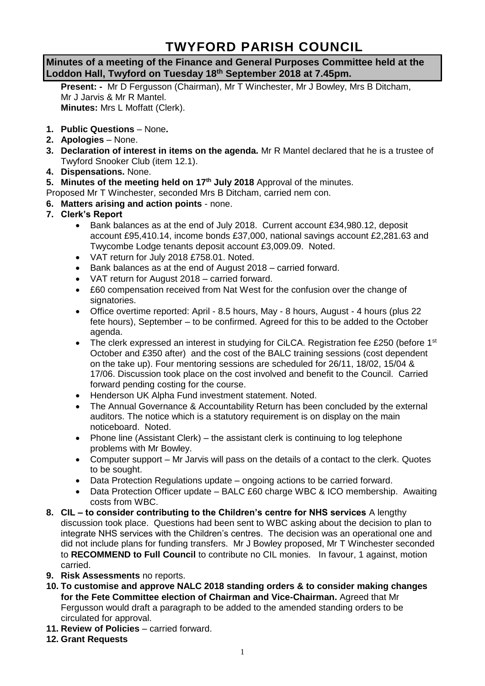# **TWYFORD PARISH COUNCIL**

## **Minutes of a meeting of the Finance and General Purposes Committee held at the Loddon Hall, Twyford on Tuesday 18th September 2018 at 7.45pm.**

**Present: -** Mr D Fergusson (Chairman), Mr T Winchester, Mr J Bowley, Mrs B Ditcham, Mr J Jarvis & Mr R Mantel. **Minutes:** Mrs L Moffatt (Clerk).

- **1. Public Questions** None**.**
- **2. Apologies** None.
- **3. Declaration of interest in items on the agenda.** Mr R Mantel declared that he is a trustee of Twyford Snooker Club (item 12.1).
- **4. Dispensations.** None.
- **5. Minutes of the meeting held on 17th July 2018** Approval of the minutes.

Proposed Mr T Winchester, seconded Mrs B Ditcham, carried nem con.

- **6. Matters arising and action points** none.
- **7. Clerk's Report**
	- Bank balances as at the end of July 2018. Current account £34,980.12, deposit account £95,410.14, income bonds £37,000, national savings account £2,281.63 and Twycombe Lodge tenants deposit account £3,009.09. Noted.
	- VAT return for July 2018 £758.01. Noted.
	- Bank balances as at the end of August 2018 carried forward.
	- VAT return for August 2018 carried forward.
	- £60 compensation received from Nat West for the confusion over the change of signatories.
	- Office overtime reported: April 8.5 hours, May 8 hours, August 4 hours (plus 22 fete hours), September – to be confirmed. Agreed for this to be added to the October agenda.
	- The clerk expressed an interest in studying for CiLCA. Registration fee £250 (before 1<sup>st</sup> October and £350 after) and the cost of the BALC training sessions (cost dependent on the take up). Four mentoring sessions are scheduled for 26/11, 18/02, 15/04 & 17/06. Discussion took place on the cost involved and benefit to the Council. Carried forward pending costing for the course.
	- Henderson UK Alpha Fund investment statement. Noted.
	- The Annual Governance & Accountability Return has been concluded by the external auditors. The notice which is a statutory requirement is on display on the main noticeboard. Noted.
	- Phone line (Assistant Clerk) the assistant clerk is continuing to log telephone problems with Mr Bowley.
	- Computer support Mr Jarvis will pass on the details of a contact to the clerk. Quotes to be sought.
	- Data Protection Regulations update ongoing actions to be carried forward.
	- Data Protection Officer update BALC £60 charge WBC & ICO membership. Awaiting costs from WBC.
- **8. CIL – to consider contributing to the Children's centre for NHS services** A lengthy discussion took place. Questions had been sent to WBC asking about the decision to plan to integrate NHS services with the Children's centres. The decision was an operational one and did not include plans for funding transfers. Mr J Bowley proposed, Mr T Winchester seconded to **RECOMMEND to Full Council** to contribute no CIL monies. In favour, 1 against, motion carried.
- **9. Risk Assessments** no reports.
- **10. To customise and approve NALC 2018 standing orders & to consider making changes for the Fete Committee election of Chairman and Vice-Chairman.** Agreed that Mr Fergusson would draft a paragraph to be added to the amended standing orders to be circulated for approval.
- **11. Review of Policies**  carried forward.
- **12. Grant Requests**